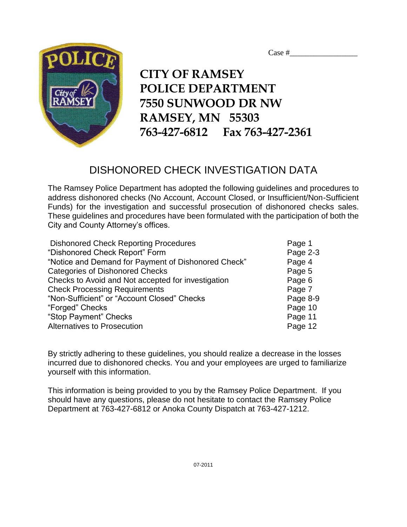| Case:<br>$^{\pi}$ |
|-------------------|
|-------------------|

### **CITY OF RAMSEY POLICE DEPARTMENT 7550 SUNWOOD DR NW RAMSEY, MN 55303 763-427-6812 Fax 763-427-2361**

#### DISHONORED CHECK INVESTIGATION DATA

The Ramsey Police Department has adopted the following guidelines and procedures to address dishonored checks (No Account, Account Closed, or Insufficient/Non-Sufficient Funds) for the investigation and successful prosecution of dishonored checks sales. These guidelines and procedures have been formulated with the participation of both the City and County Attorney's offices.

| <b>Dishonored Check Reporting Procedures</b>        | Page 1   |
|-----------------------------------------------------|----------|
| "Dishonored Check Report" Form                      | Page 2-3 |
| "Notice and Demand for Payment of Dishonored Check" | Page 4   |
| <b>Categories of Dishonored Checks</b>              | Page 5   |
| Checks to Avoid and Not accepted for investigation  | Page 6   |
| <b>Check Processing Requirements</b>                | Page 7   |
| "Non-Sufficient" or "Account Closed" Checks         | Page 8-9 |
| "Forged" Checks                                     | Page 10  |
| "Stop Payment" Checks                               | Page 11  |
| <b>Alternatives to Prosecution</b>                  | Page 12  |

By strictly adhering to these guidelines, you should realize a decrease in the losses incurred due to dishonored checks. You and your employees are urged to familiarize yourself with this information.

This information is being provided to you by the Ramsey Police Department. If you should have any questions, please do not hesitate to contact the Ramsey Police Department at 763-427-6812 or Anoka County Dispatch at 763-427-1212.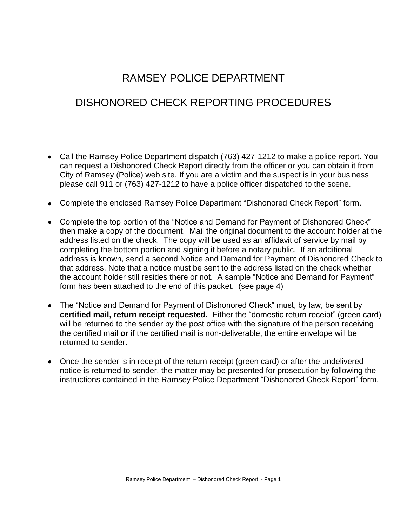### RAMSEY POLICE DEPARTMENT

### DISHONORED CHECK REPORTING PROCEDURES

- Call the Ramsey Police Department dispatch (763) 427-1212 to make a police report. You can request a Dishonored Check Report directly from the officer or you can obtain it from City of Ramsey (Police) web site. If you are a victim and the suspect is in your business please call 911 or (763) 427-1212 to have a police officer dispatched to the scene.
- Complete the enclosed Ramsey Police Department "Dishonored Check Report" form.
- Complete the top portion of the "Notice and Demand for Payment of Dishonored Check" then make a copy of the document. Mail the original document to the account holder at the address listed on the check. The copy will be used as an affidavit of service by mail by completing the bottom portion and signing it before a notary public. If an additional address is known, send a second Notice and Demand for Payment of Dishonored Check to that address. Note that a notice must be sent to the address listed on the check whether the account holder still resides there or not. A sample "Notice and Demand for Payment" form has been attached to the end of this packet. (see page 4)
- The "Notice and Demand for Payment of Dishonored Check" must, by law, be sent by **certified mail, return receipt requested.** Either the "domestic return receipt" (green card) will be returned to the sender by the post office with the signature of the person receiving the certified mail **or** if the certified mail is non-deliverable, the entire envelope will be returned to sender.
- Once the sender is in receipt of the return receipt (green card) or after the undelivered notice is returned to sender, the matter may be presented for prosecution by following the instructions contained in the Ramsey Police Department "Dishonored Check Report" form.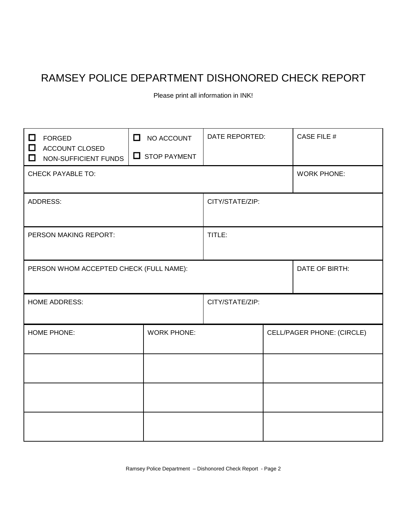### RAMSEY POLICE DEPARTMENT DISHONORED CHECK REPORT

Please print all information in INK!

| $\Box$<br><b>FORGED</b><br>$\Box$<br><b>ACCOUNT CLOSED</b><br>□<br>NON-SUFFICIENT FUNDS | $\Box$<br>NO ACCOUNT<br>$\Box$ STOP PAYMENT | DATE REPORTED:  |  | <b>CASE FILE #</b>         |
|-----------------------------------------------------------------------------------------|---------------------------------------------|-----------------|--|----------------------------|
| <b>CHECK PAYABLE TO:</b>                                                                |                                             |                 |  | <b>WORK PHONE:</b>         |
| <b>ADDRESS:</b>                                                                         |                                             | CITY/STATE/ZIP: |  |                            |
| PERSON MAKING REPORT:                                                                   |                                             | TITLE:          |  |                            |
| PERSON WHOM ACCEPTED CHECK (FULL NAME):                                                 |                                             |                 |  | DATE OF BIRTH:             |
| <b>HOME ADDRESS:</b>                                                                    |                                             | CITY/STATE/ZIP: |  |                            |
| HOME PHONE:                                                                             | <b>WORK PHONE:</b>                          |                 |  | CELL/PAGER PHONE: (CIRCLE) |
|                                                                                         |                                             |                 |  |                            |
|                                                                                         |                                             |                 |  |                            |
|                                                                                         |                                             |                 |  |                            |

Ramsey Police Department – Dishonored Check Report - Page 2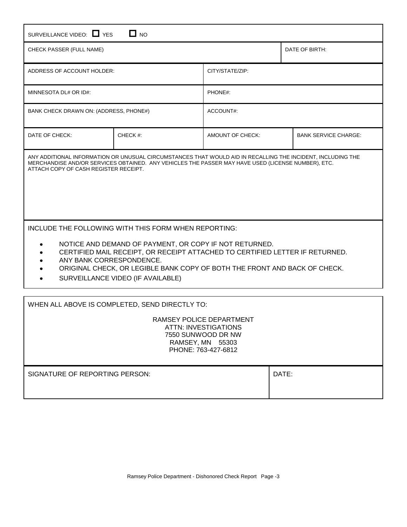| SURVEILLANCE VIDEO: VES<br>$\Box$ NO                                                                                                                                                                                                                                                                                                         |                                                |                  |                             |  |
|----------------------------------------------------------------------------------------------------------------------------------------------------------------------------------------------------------------------------------------------------------------------------------------------------------------------------------------------|------------------------------------------------|------------------|-----------------------------|--|
| CHECK PASSER (FULL NAME)                                                                                                                                                                                                                                                                                                                     |                                                |                  | DATE OF BIRTH:              |  |
| ADDRESS OF ACCOUNT HOLDER:                                                                                                                                                                                                                                                                                                                   |                                                | CITY/STATE/ZIP:  |                             |  |
| MINNESOTA DL# OR ID#:                                                                                                                                                                                                                                                                                                                        |                                                | PHONE#:          |                             |  |
| BANK CHECK DRAWN ON: (ADDRESS, PHONE#)                                                                                                                                                                                                                                                                                                       |                                                | ACCOUNT#:        |                             |  |
| DATE OF CHECK:                                                                                                                                                                                                                                                                                                                               | CHECK#:                                        | AMOUNT OF CHECK: | <b>BANK SERVICE CHARGE:</b> |  |
| ANY ADDITIONAL INFORMATION OR UNUSUAL CIRCUMSTANCES THAT WOULD AID IN RECALLING THE INCIDENT, INCLUDING THE<br>MERCHANDISE AND/OR SERVICES OBTAINED. ANY VEHICLES THE PASSER MAY HAVE USED (LICENSE NUMBER), ETC.<br>ATTACH COPY OF CASH REGISTER RECEIPT.                                                                                   |                                                |                  |                             |  |
| INCLUDE THE FOLLOWING WITH THIS FORM WHEN REPORTING:<br>NOTICE AND DEMAND OF PAYMENT, OR COPY IF NOT RETURNED.<br>CERTIFIED MAIL RECEIPT, OR RECEIPT ATTACHED TO CERTIFIED LETTER IF RETURNED.<br>ANY BANK CORRESPONDENCE.<br>ORIGINAL CHECK, OR LEGIBLE BANK COPY OF BOTH THE FRONT AND BACK OF CHECK.<br>SURVEILLANCE VIDEO (IF AVAILABLE) |                                                |                  |                             |  |
|                                                                                                                                                                                                                                                                                                                                              | WHEN ALL ABOVE IS COMPLETED, SEND DIRECTLY TO: |                  |                             |  |
| RAMSEY POLICE DEPARTMENT<br>ATTN: INNESTICATIONS                                                                                                                                                                                                                                                                                             |                                                |                  |                             |  |

ATTN: INVESTIGATIONS 7550 SUNWOOD DR NW RAMSEY, MN 55303 PHONE: 763-427-6812

| SIGNATURE OF REPORTING PERSON: | DATE: |
|--------------------------------|-------|
|                                |       |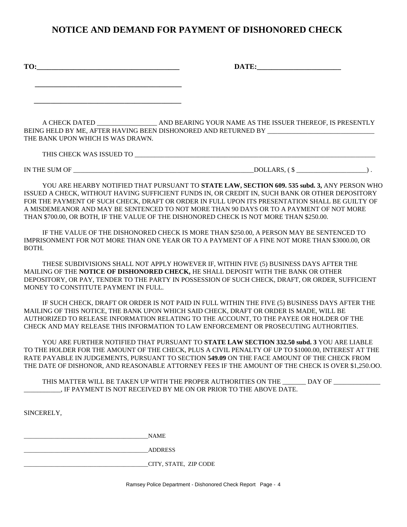#### **NOTICE AND DEMAND FOR PAYMENT OF DISHONORED CHECK**

| TO:                  | DATE: |
|----------------------|-------|
|                      |       |
|                      |       |
| ____________________ |       |

A CHECK DATED \_\_\_\_\_\_\_\_\_\_\_\_\_\_\_\_\_\_ AND BEARING YOUR NAME AS THE ISSUER THEREOF, IS PRESENTLY BEING HELD BY ME, AFTER HAVING BEEN DISHONORED AND RETURNED BY THE BANK UPON WHICH IS WAS DRAWN.

THIS CHECK WAS ISSUED TO \_\_\_\_\_\_\_\_\_\_\_\_\_\_\_\_\_\_\_\_\_\_\_\_\_\_\_\_\_\_\_\_\_\_\_\_\_\_\_\_\_\_\_\_\_\_\_\_\_\_\_\_\_\_\_\_\_\_\_\_\_\_\_\_\_\_\_\_\_\_\_\_

IN THE SUM OF  $\Box$  DOLLARS, (  $\Diamond$ 

 YOU ARE HEARBY NOTIFIED THAT PURSUANT TO **STATE LAW, SECTION 609. 535 subd. 3,** ANY PERSON WHO ISSUED A CHECK, WITHOUT HAVING SUFFICIENT FUNDS IN, OR CREDIT IN, SUCH BANK OR OTHER DEPOSITORY FOR THE PAYMENT OF SUCH CHECK, DRAFT OR ORDER IN FULL UPON ITS PRESENTATION SHALL BE GUILTY OF A MISDEMEANOR AND MAY BE SENTENCED TO NOT MORE THAN 90 DAYS OR TO A PAYMENT OF NOT MORE THAN \$700.00, OR BOTH, IF THE VALUE OF THE DISHONORED CHECK IS NOT MORE THAN \$250.00.

 IF THE VALUE OF THE DISHONORED CHECK IS MORE THAN \$250.00, A PERSON MAY BE SENTENCED TO IMPRISONMENT FOR NOT MORE THAN ONE YEAR OR TO A PAYMENT OF A FINE NOT MORE THAN \$3000.00, OR BOTH.

 THESE SUBDIVISIONS SHALL NOT APPLY HOWEVER IF, WITHIN FIVE (5) BUSINESS DAYS AFTER THE MAILING OF THE **NOTICE OF DISHONORED CHECK,** HE SHALL DEPOSIT WITH THE BANK OR OTHER DEPOSITORY, OR PAY, TENDER TO THE PARTY IN POSSESSION OF SUCH CHECK, DRAFT, OR ORDER, SUFFICIENT MONEY TO CONSTITUTE PAYMENT IN FULL.

 IF SUCH CHECK, DRAFT OR ORDER IS NOT PAID IN FULL WITHIN THE FIVE (5) BUSINESS DAYS AFTER THE MAILING OF THIS NOTICE, THE BANK UPON WHICH SAID CHECK, DRAFT OR ORDER IS MADE, WILL BE AUTHORIZED TO RELEASE INFORMATION RELATING TO THE ACCOUNT, TO THE PAYEE OR HOLDER OF THE CHECK AND MAY RELEASE THIS INFORMATION TO LAW ENFORCEMENT OR PROSECUTING AUTHORITIES.

 YOU ARE FURTHER NOTIFIED THAT PURSUANT TO **STATE LAW SECTION 332.50 subd. 3** YOU ARE LIABLE TO THE HOLDER FOR THE AMOUNT OF THE CHECK, PLUS A CIVIL PENALTY OF UP TO \$1000.00, INTEREST AT THE RATE PAYABLE IN JUDGEMENTS, PURSUANT TO SECTION **549.09** ON THE FACE AMOUNT OF THE CHECK FROM THE DATE OF DISHONOR, AND REASONABLE ATTORNEY FEES IF THE AMOUNT OF THE CHECK IS OVER \$1,250.OO.

THIS MATTER WILL BE TAKEN UP WITH THE PROPER AUTHORITIES ON THE \_\_\_\_\_\_\_ DAY OF \_\_\_\_\_\_\_\_\_\_\_, IF PAYMENT IS NOT RECEIVED BY ME ON OR PRIOR TO THE ABOVE DATE.

SINCERELY,

 $NAME$ 

\_\_\_\_\_\_\_\_\_\_\_\_\_\_\_\_\_\_\_\_\_\_\_\_\_\_\_\_\_\_\_\_\_\_\_\_\_\_\_\_\_ADDRESS

\_\_\_\_\_\_\_\_\_\_\_\_\_\_\_\_\_\_\_\_\_\_\_\_\_\_\_\_\_\_\_\_\_\_\_\_\_\_\_\_\_CITY, STATE, ZIP CODE

Ramsey Police Department - Dishonored Check Report Page - 4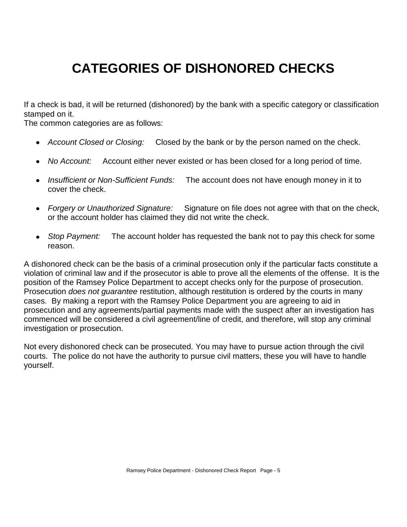# **CATEGORIES OF DISHONORED CHECKS**

If a check is bad, it will be returned (dishonored) by the bank with a specific category or classification stamped on it.

The common categories are as follows:

- *Account Closed or Closing:* Closed by the bank or by the person named on the check.
- *No Account:* Account either never existed or has been closed for a long period of time.
- *Insufficient or Non-Sufficient Funds:* The account does not have enough money in it to cover the check.
- *Forgery or Unauthorized Signature:* Signature on file does not agree with that on the check, or the account holder has claimed they did not write the check.
- *Stop Payment:* The account holder has requested the bank not to pay this check for some reason.

A dishonored check can be the basis of a criminal prosecution only if the particular facts constitute a violation of criminal law and if the prosecutor is able to prove all the elements of the offense. It is the position of the Ramsey Police Department to accept checks only for the purpose of prosecution. Prosecution *does not guarantee* restitution, although restitution is ordered by the courts in many cases. By making a report with the Ramsey Police Department you are agreeing to aid in prosecution and any agreements/partial payments made with the suspect after an investigation has commenced will be considered a civil agreement/line of credit, and therefore, will stop any criminal investigation or prosecution.

Not every dishonored check can be prosecuted. You may have to pursue action through the civil courts. The police do not have the authority to pursue civil matters, these you will have to handle yourself.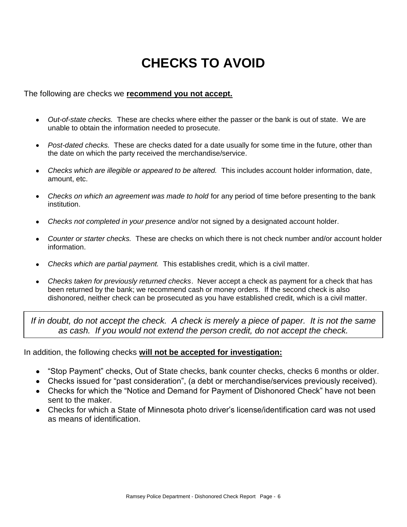# **CHECKS TO AVOID**

The following are checks we **recommend you not accept.**

- *Out-of-state checks.* These are checks where either the passer or the bank is out of state. We are unable to obtain the information needed to prosecute.
- *Post-dated checks.* These are checks dated for a date usually for some time in the future, other than the date on which the party received the merchandise/service.
- *Checks which are illegible or appeared to be altered.* This includes account holder information, date,  $\bullet$ amount, etc.
- *Checks on which an agreement was made to hold* for any period of time before presenting to the bank institution.
- *Checks not completed in your presence* and/or not signed by a designated account holder.
- *Counter or starter checks.* These are checks on which there is not check number and/or account holder information.
- *Checks which are partial payment.* This establishes credit, which is a civil matter.
- *Checks taken for previously returned checks*. Never accept a check as payment for a check that has been returned by the bank; we recommend cash or money orders. If the second check is also dishonored, neither check can be prosecuted as you have established credit, which is a civil matter.

*If in doubt, do not accept the check.* A check is merely a piece of paper. It is not the same *as cash. If you would not extend the person credit, do not accept the check.*

In addition, the following checks **will not be accepted for investigation:**

- "Stop Payment" checks, Out of State checks, bank counter checks, checks 6 months or older.  $\bullet$
- Checks issued for "past consideration", (a debt or merchandise/services previously received).
- Checks for which the "Notice and Demand for Payment of Dishonored Check" have not been sent to the maker.
- Checks for which a State of Minnesota photo driver's license/identification card was not used as means of identification.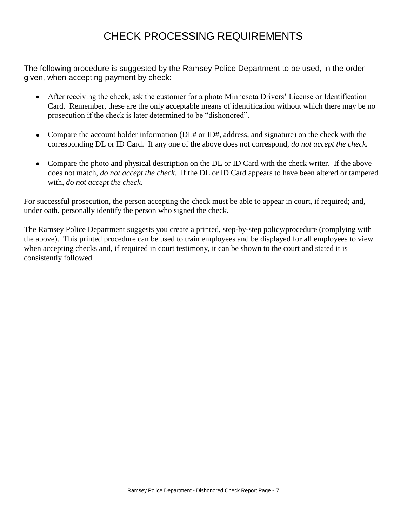### CHECK PROCESSING REQUIREMENTS

The following procedure is suggested by the Ramsey Police Department to be used, in the order given, when accepting payment by check:

- After receiving the check, ask the customer for a photo Minnesota Drivers' License or Identification Card. Remember, these are the only acceptable means of identification without which there may be no prosecution if the check is later determined to be "dishonored".
- Compare the account holder information (DL# or ID#, address, and signature) on the check with the corresponding DL or ID Card. If any one of the above does not correspond, *do not accept the check.*
- Compare the photo and physical description on the DL or ID Card with the check writer. If the above does not match, *do not accept the check.* If the DL or ID Card appears to have been altered or tampered with, *do not accept the check.*

For successful prosecution, the person accepting the check must be able to appear in court, if required; and, under oath, personally identify the person who signed the check.

The Ramsey Police Department suggests you create a printed, step-by-step policy/procedure (complying with the above). This printed procedure can be used to train employees and be displayed for all employees to view when accepting checks and, if required in court testimony, it can be shown to the court and stated it is consistently followed.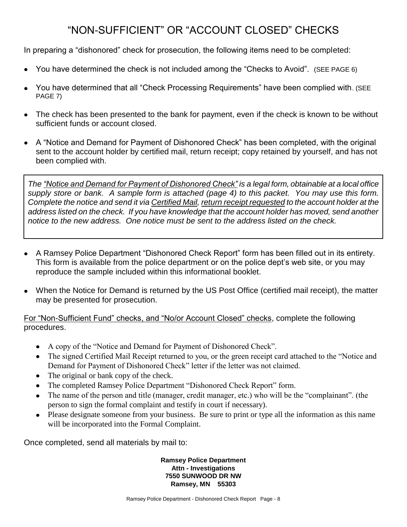### "NON-SUFFICIENT" OR "ACCOUNT CLOSED" CHECKS

In preparing a "dishonored" check for prosecution, the following items need to be completed:

- $\bullet$ You have determined the check is not included among the "Checks to Avoid". (SEE PAGE 6)
- You have determined that all "Check Processing Requirements" have been complied with. (SEE  $\bullet$ PAGE 7)
- The check has been presented to the bank for payment, even if the check is known to be without sufficient funds or account closed.
- A "Notice and Demand for Payment of Dishonored Check" has been completed, with the original  $\bullet$ sent to the account holder by certified mail, return receipt; copy retained by yourself, and has not been complied with.

*The "Notice and Demand for Payment of Dishonored Check" is a legal form, obtainable at a local office supply store or bank. A sample form is attached (page 4) to this packet. You may use this form. Complete the notice and send it via Certified Mail, return receipt requested to the account holder at the address listed on the check. If you have knowledge that the account holder has moved, send another notice to the new address. One notice must be sent to the address listed on the check.*

- A Ramsey Police Department "Dishonored Check Report" form has been filled out in its entirety.  $\bullet$ This form is available from the police department or on the police dept's web site, or you may reproduce the sample included within this informational booklet.
- When the Notice for Demand is returned by the US Post Office (certified mail receipt), the matter may be presented for prosecution.

For "Non-Sufficient Fund" checks, and "No/or Account Closed" checks, complete the following procedures.

- A copy of the "Notice and Demand for Payment of Dishonored Check".
- The signed Certified Mail Receipt returned to you, or the green receipt card attached to the "Notice and Demand for Payment of Dishonored Check" letter if the letter was not claimed.
- The original or bank copy of the check.
- The completed Ramsey Police Department "Dishonored Check Report" form.
- The name of the person and title (manager, credit manager, etc.) who will be the "complainant". (the  $\bullet$ person to sign the formal complaint and testify in court if necessary).
- Please designate someone from your business. Be sure to print or type all the information as this name will be incorporated into the Formal Complaint.

Once completed, send all materials by mail to:

**Ramsey Police Department Attn - Investigations 7550 SUNWOOD DR NW Ramsey, MN 55303**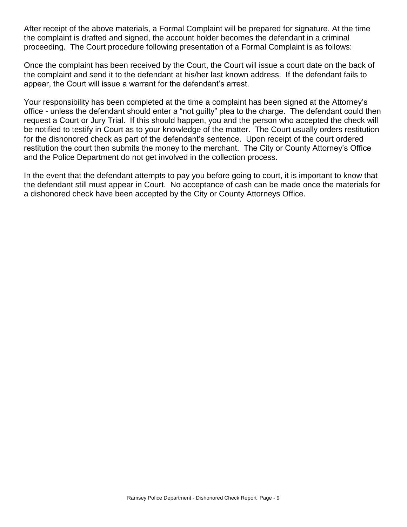After receipt of the above materials, a Formal Complaint will be prepared for signature. At the time the complaint is drafted and signed, the account holder becomes the defendant in a criminal proceeding. The Court procedure following presentation of a Formal Complaint is as follows:

Once the complaint has been received by the Court, the Court will issue a court date on the back of the complaint and send it to the defendant at his/her last known address. If the defendant fails to appear, the Court will issue a warrant for the defendant's arrest.

Your responsibility has been completed at the time a complaint has been signed at the Attorney's office - unless the defendant should enter a "not guilty" plea to the charge. The defendant could then request a Court or Jury Trial. If this should happen, you and the person who accepted the check will be notified to testify in Court as to your knowledge of the matter. The Court usually orders restitution for the dishonored check as part of the defendant's sentence. Upon receipt of the court ordered restitution the court then submits the money to the merchant. The City or County Attorney's Office and the Police Department do not get involved in the collection process.

In the event that the defendant attempts to pay you before going to court, it is important to know that the defendant still must appear in Court. No acceptance of cash can be made once the materials for a dishonored check have been accepted by the City or County Attorneys Office.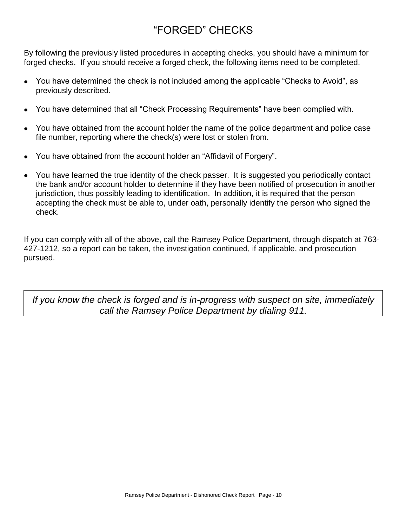### "FORGED" CHECKS

By following the previously listed procedures in accepting checks, you should have a minimum for forged checks. If you should receive a forged check, the following items need to be completed.

- You have determined the check is not included among the applicable "Checks to Avoid", as previously described.
- You have determined that all "Check Processing Requirements" have been complied with.  $\bullet$
- You have obtained from the account holder the name of the police department and police case file number, reporting where the check(s) were lost or stolen from.
- You have obtained from the account holder an "Affidavit of Forgery".
- You have learned the true identity of the check passer. It is suggested you periodically contact the bank and/or account holder to determine if they have been notified of prosecution in another jurisdiction, thus possibly leading to identification. In addition, it is required that the person accepting the check must be able to, under oath, personally identify the person who signed the check.

If you can comply with all of the above, call the Ramsey Police Department, through dispatch at 763- 427-1212, so a report can be taken, the investigation continued, if applicable, and prosecution pursued.

*If you know the check is forged and is in-progress with suspect on site, immediately call the Ramsey Police Department by dialing 911.*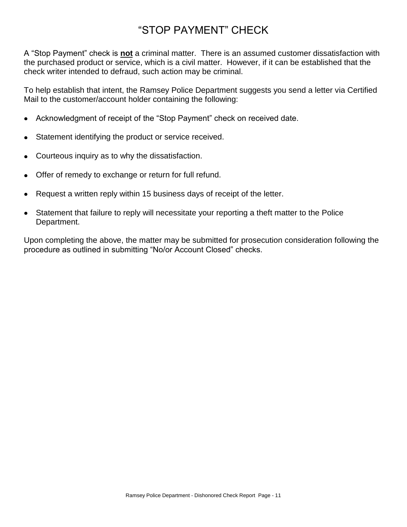### "STOP PAYMENT" CHECK

A "Stop Payment" check is **not** a criminal matter. There is an assumed customer dissatisfaction with the purchased product or service, which is a civil matter. However, if it can be established that the check writer intended to defraud, such action may be criminal.

To help establish that intent, the Ramsey Police Department suggests you send a letter via Certified Mail to the customer/account holder containing the following:

- Acknowledgment of receipt of the "Stop Payment" check on received date.  $\bullet$
- Statement identifying the product or service received.  $\bullet$
- Courteous inquiry as to why the dissatisfaction.
- Offer of remedy to exchange or return for full refund.  $\bullet$
- Request a written reply within 15 business days of receipt of the letter.  $\bullet$
- Statement that failure to reply will necessitate your reporting a theft matter to the Police Department.

Upon completing the above, the matter may be submitted for prosecution consideration following the procedure as outlined in submitting "No/or Account Closed" checks.